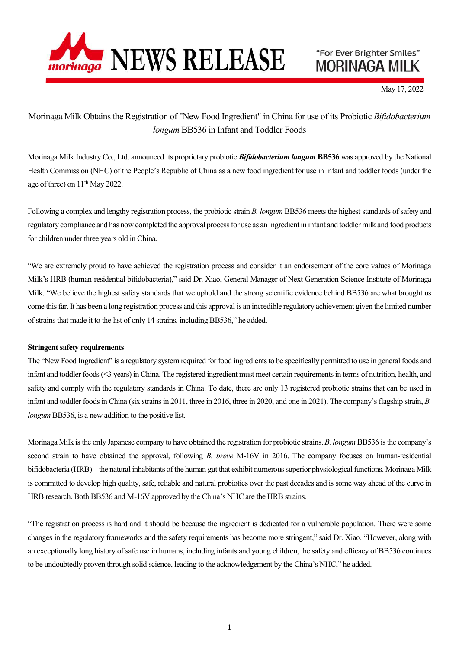

"For Ever Brighter Smiles" **MORINAGA MILK** 

May 17, 2022

Morinaga Milk Obtains the Registration of "New Food Ingredient" in China for use of its Probiotic Bifidobacterium longum BB536 in Infant and Toddler Foods

Morinaga Milk Industry Co., Ltd. announced its proprietary probiotic **Bifidobacterium longum BB536** was approved by the National Health Commission (NHC) of the People's Republic of China as a new food ingredient for use in infant and toddler foods (under the age of three) on  $11<sup>th</sup>$  May 2022.

Following a complex and lengthy registration process, the probiotic strain B. longum BB536 meets the highest standards of safety and regulatory compliance and has now completed the approval process for use as an ingredient in infant and toddler milk and food products for children under three years old in China.

"We are extremely proud to have achieved the registration process and consider it an endorsement of the core values of Morinaga Milk's HRB (human-residential bifidobacteria)," said Dr. Xiao, General Manager of Next Generation Science Institute of Morinaga Milk. "We believe the highest safety standards that we uphold and the strong scientific evidence behind BB536 are what brought us come this far. It has been a long registration process and this approval is an incredible regulatory achievement given the limited number of strains that made it to the list of only 14 strains, including BB536," he added.

## Stringent safety requirements

The "New Food Ingredient" is a regulatory system required for food ingredients to be specifically permitted to use in general foods and infant and toddler foods (<3 years) in China. The registered ingredient must meet certain requirements in terms of nutrition, health, and safety and comply with the regulatory standards in China. To date, there are only 13 registered probiotic strains that can be used in infant and toddler foods in China (six strains in 2011, three in 2016, three in 2020, and one in 2021). The company's flagship strain, B. longum BB536, is a new addition to the positive list.

Morinaga Milk is the only Japanese company to have obtained the registration for probiotic strains. B. longum BB536 is the company's second strain to have obtained the approval, following B. breve M-16V in 2016. The company focuses on human-residential bifidobacteria (HRB) – the natural inhabitants of the human gut that exhibit numerous superior physiological functions. Morinaga Milk is committed to develop high quality, safe, reliable and natural probiotics over the past decades and is some way ahead of the curve in HRB research. Both BB536 and M-16V approved by the China's NHC are the HRB strains.

"The registration process is hard and it should be because the ingredient is dedicated for a vulnerable population. There were some changes in the regulatory frameworks and the safety requirements has become more stringent," said Dr. Xiao. "However, along with an exceptionally long history of safe use in humans, including infants and young children, the safety and efficacy of BB536 continues to be undoubtedly proven through solid science, leading to the acknowledgement by the China's NHC," he added.